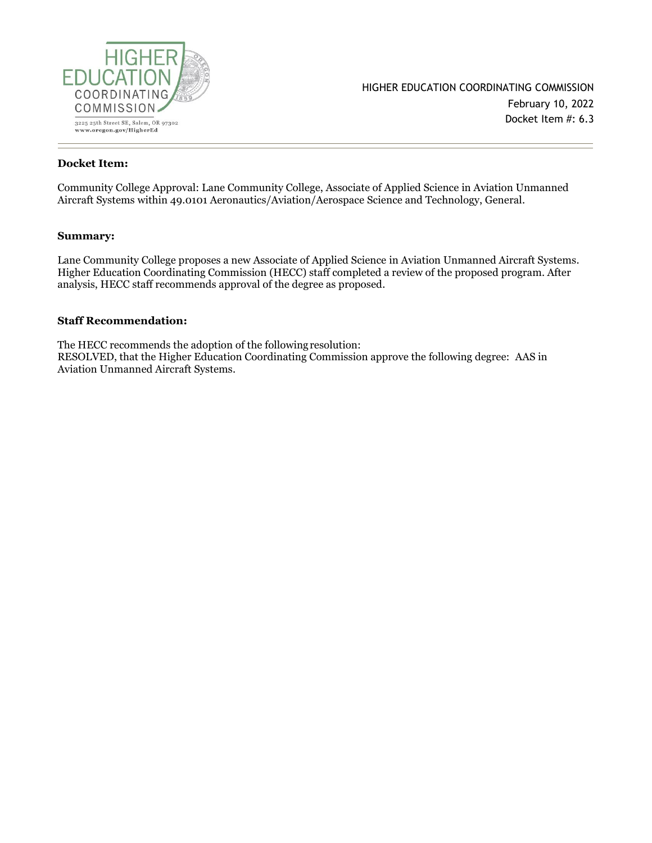

#### **Docket Item:**

Community College Approval: Lane Community College, Associate of Applied Science in Aviation Unmanned Aircraft Systems within 49.0101 Aeronautics/Aviation/Aerospace Science and Technology, General.

#### **Summary:**

Lane Community College proposes a new Associate of Applied Science in Aviation Unmanned Aircraft Systems. Higher Education Coordinating Commission (HECC) staff completed a review of the proposed program. After analysis, HECC staff recommends approval of the degree as proposed.

#### **Staff Recommendation:**

The HECC recommends the adoption of the followingresolution: RESOLVED, that the Higher Education Coordinating Commission approve the following degree: AAS in Aviation Unmanned Aircraft Systems.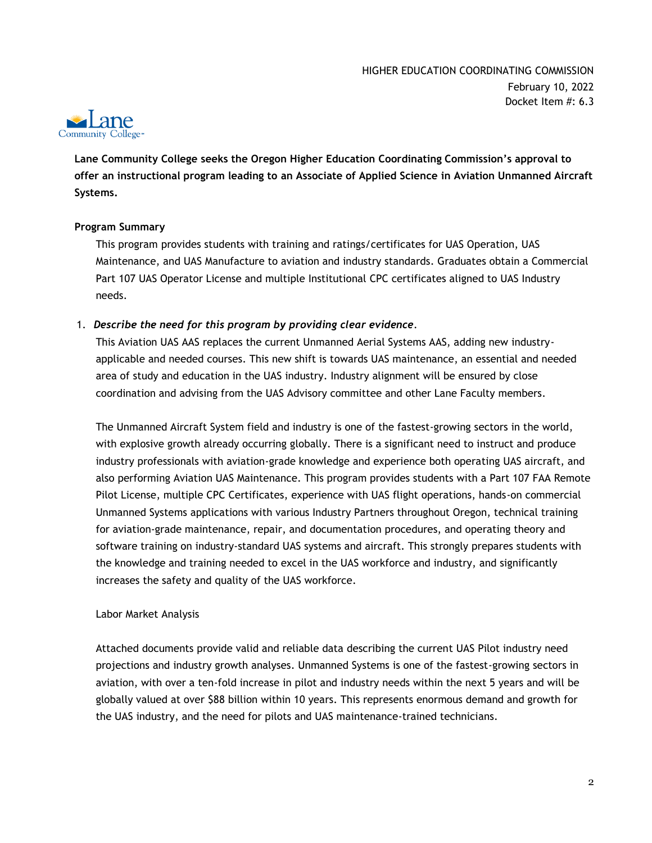

**Lane Community College seeks the Oregon Higher Education Coordinating Commission's approval to offer an instructional program leading to an Associate of Applied Science in Aviation Unmanned Aircraft Systems.**

## **Program Summary**

This program provides students with training and ratings/certificates for UAS Operation, UAS Maintenance, and UAS Manufacture to aviation and industry standards. Graduates obtain a Commercial Part 107 UAS Operator License and multiple Institutional CPC certificates aligned to UAS Industry needs.

## 1. *Describe the need for this program by providing clear evidence.*

This Aviation UAS AAS replaces the current Unmanned Aerial Systems AAS, adding new industryapplicable and needed courses. This new shift is towards UAS maintenance, an essential and needed area of study and education in the UAS industry. Industry alignment will be ensured by close coordination and advising from the UAS Advisory committee and other Lane Faculty members.

The Unmanned Aircraft System field and industry is one of the fastest-growing sectors in the world, with explosive growth already occurring globally. There is a significant need to instruct and produce industry professionals with aviation-grade knowledge and experience both operating UAS aircraft, and also performing Aviation UAS Maintenance. This program provides students with a Part 107 FAA Remote Pilot License, multiple CPC Certificates, experience with UAS flight operations, hands-on commercial Unmanned Systems applications with various Industry Partners throughout Oregon, technical training for aviation-grade maintenance, repair, and documentation procedures, and operating theory and software training on industry-standard UAS systems and aircraft. This strongly prepares students with the knowledge and training needed to excel in the UAS workforce and industry, and significantly increases the safety and quality of the UAS workforce.

### Labor Market Analysis

Attached documents provide valid and reliable data describing the current UAS Pilot industry need projections and industry growth analyses. Unmanned Systems is one of the fastest-growing sectors in aviation, with over a ten-fold increase in pilot and industry needs within the next 5 years and will be globally valued at over \$88 billion within 10 years. This represents enormous demand and growth for the UAS industry, and the need for pilots and UAS maintenance-trained technicians.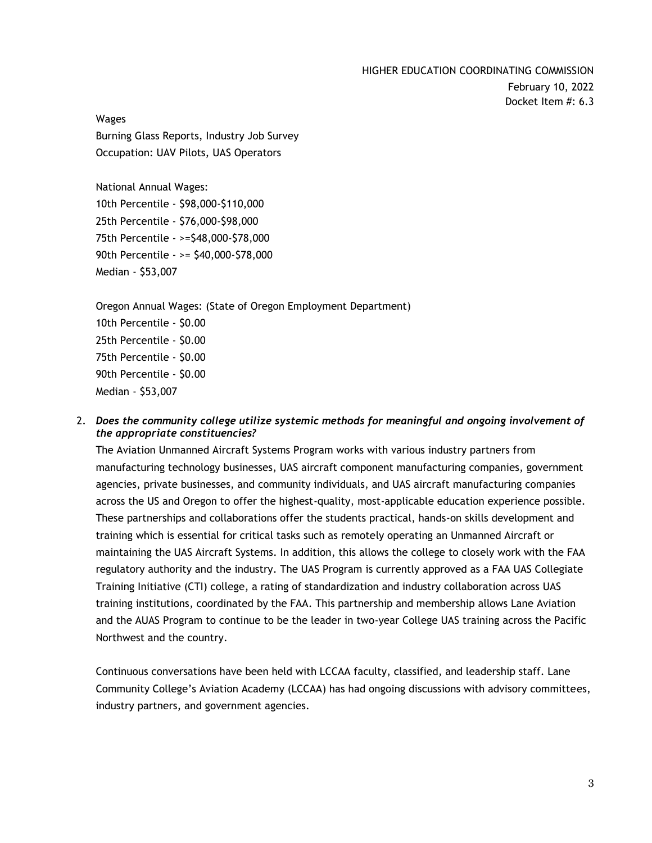HIGHER EDUCATION COORDINATING COMMISSION February 10, 2022

Docket Item #: 6.3

Wages

Burning Glass Reports, Industry Job Survey Occupation: UAV Pilots, UAS Operators

National Annual Wages: 10th Percentile - \$98,000-\$110,000 25th Percentile - \$76,000-\$98,000 75th Percentile - >=\$48,000-\$78,000 90th Percentile - >= \$40,000-\$78,000 Median - \$53,007

Oregon Annual Wages: (State of Oregon Employment Department) 10th Percentile - \$0.00 25th Percentile - \$0.00 75th Percentile - \$0.00 90th Percentile - \$0.00 Median - \$53,007

### 2. *Does the community college utilize systemic methods for meaningful and ongoing involvement of the appropriate constituencies?*

The Aviation Unmanned Aircraft Systems Program works with various industry partners from manufacturing technology businesses, UAS aircraft component manufacturing companies, government agencies, private businesses, and community individuals, and UAS aircraft manufacturing companies across the US and Oregon to offer the highest-quality, most-applicable education experience possible. These partnerships and collaborations offer the students practical, hands-on skills development and training which is essential for critical tasks such as remotely operating an Unmanned Aircraft or maintaining the UAS Aircraft Systems. In addition, this allows the college to closely work with the FAA regulatory authority and the industry. The UAS Program is currently approved as a FAA UAS Collegiate Training Initiative (CTI) college, a rating of standardization and industry collaboration across UAS training institutions, coordinated by the FAA. This partnership and membership allows Lane Aviation and the AUAS Program to continue to be the leader in two-year College UAS training across the Pacific Northwest and the country.

Continuous conversations have been held with LCCAA faculty, classified, and leadership staff. Lane Community College's Aviation Academy (LCCAA) has had ongoing discussions with advisory committees, industry partners, and government agencies.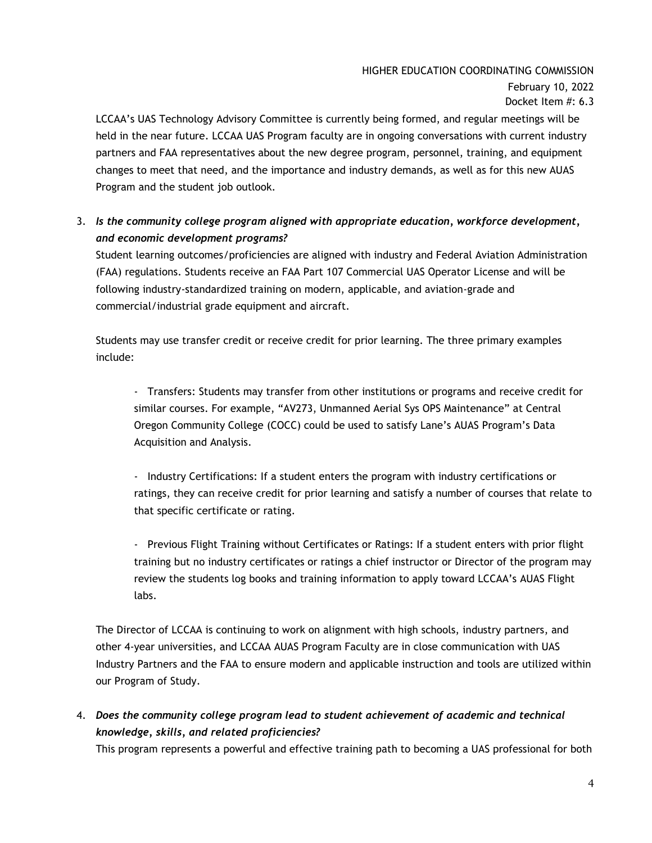# HIGHER EDUCATION COORDINATING COMMISSION

February 10, 2022 Docket Item #: 6.3

LCCAA's UAS Technology Advisory Committee is currently being formed, and regular meetings will be held in the near future. LCCAA UAS Program faculty are in ongoing conversations with current industry partners and FAA representatives about the new degree program, personnel, training, and equipment changes to meet that need, and the importance and industry demands, as well as for this new AUAS Program and the student job outlook.

3. *Is the community college program aligned with appropriate education, workforce development, and economic development programs?*

Student learning outcomes/proficiencies are aligned with industry and Federal Aviation Administration (FAA) regulations. Students receive an FAA Part 107 Commercial UAS Operator License and will be following industry-standardized training on modern, applicable, and aviation-grade and commercial/industrial grade equipment and aircraft.

Students may use transfer credit or receive credit for prior learning. The three primary examples include:

- Transfers: Students may transfer from other institutions or programs and receive credit for similar courses. For example, "AV273, Unmanned Aerial Sys OPS Maintenance" at Central Oregon Community College (COCC) could be used to satisfy Lane's AUAS Program's Data Acquisition and Analysis.

- Industry Certifications: If a student enters the program with industry certifications or ratings, they can receive credit for prior learning and satisfy a number of courses that relate to that specific certificate or rating.

- Previous Flight Training without Certificates or Ratings: If a student enters with prior flight training but no industry certificates or ratings a chief instructor or Director of the program may review the students log books and training information to apply toward LCCAA's AUAS Flight labs.

The Director of LCCAA is continuing to work on alignment with high schools, industry partners, and other 4-year universities, and LCCAA AUAS Program Faculty are in close communication with UAS Industry Partners and the FAA to ensure modern and applicable instruction and tools are utilized within our Program of Study.

4. *Does the community college program lead to student achievement of academic and technical knowledge, skills, and related proficiencies?*

This program represents a powerful and effective training path to becoming a UAS professional for both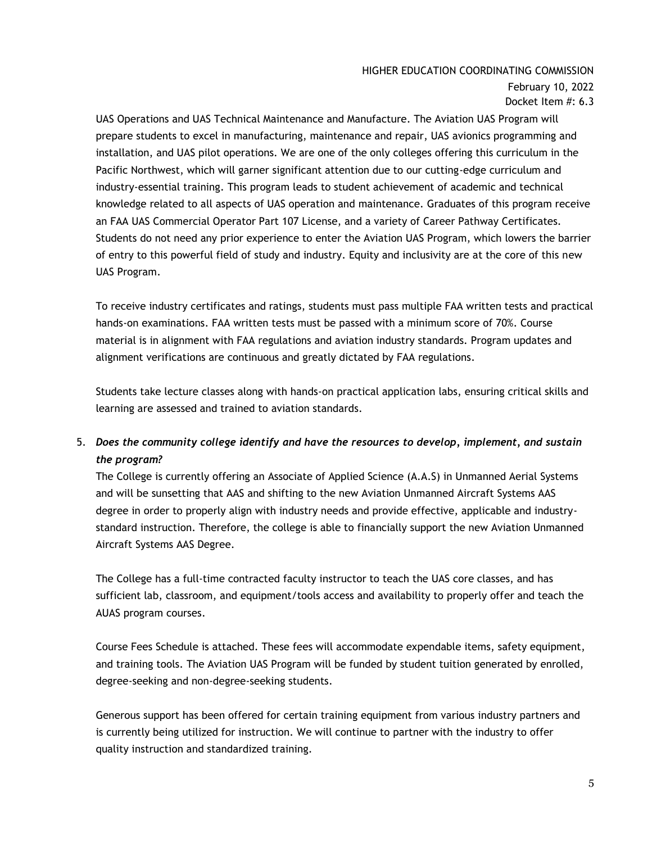## HIGHER EDUCATION COORDINATING COMMISSION

February 10, 2022 Docket Item #: 6.3

UAS Operations and UAS Technical Maintenance and Manufacture. The Aviation UAS Program will prepare students to excel in manufacturing, maintenance and repair, UAS avionics programming and installation, and UAS pilot operations. We are one of the only colleges offering this curriculum in the Pacific Northwest, which will garner significant attention due to our cutting-edge curriculum and industry-essential training. This program leads to student achievement of academic and technical knowledge related to all aspects of UAS operation and maintenance. Graduates of this program receive an FAA UAS Commercial Operator Part 107 License, and a variety of Career Pathway Certificates. Students do not need any prior experience to enter the Aviation UAS Program, which lowers the barrier of entry to this powerful field of study and industry. Equity and inclusivity are at the core of this new UAS Program.

To receive industry certificates and ratings, students must pass multiple FAA written tests and practical hands-on examinations. FAA written tests must be passed with a minimum score of 70%. Course material is in alignment with FAA regulations and aviation industry standards. Program updates and alignment verifications are continuous and greatly dictated by FAA regulations.

Students take lecture classes along with hands-on practical application labs, ensuring critical skills and learning are assessed and trained to aviation standards.

# 5. *Does the community college identify and have the resources to develop, implement, and sustain the program?*

The College is currently offering an Associate of Applied Science (A.A.S) in Unmanned Aerial Systems and will be sunsetting that AAS and shifting to the new Aviation Unmanned Aircraft Systems AAS degree in order to properly align with industry needs and provide effective, applicable and industrystandard instruction. Therefore, the college is able to financially support the new Aviation Unmanned Aircraft Systems AAS Degree.

The College has a full-time contracted faculty instructor to teach the UAS core classes, and has sufficient lab, classroom, and equipment/tools access and availability to properly offer and teach the AUAS program courses.

Course Fees Schedule is attached. These fees will accommodate expendable items, safety equipment, and training tools. The Aviation UAS Program will be funded by student tuition generated by enrolled, degree-seeking and non-degree-seeking students.

Generous support has been offered for certain training equipment from various industry partners and is currently being utilized for instruction. We will continue to partner with the industry to offer quality instruction and standardized training.